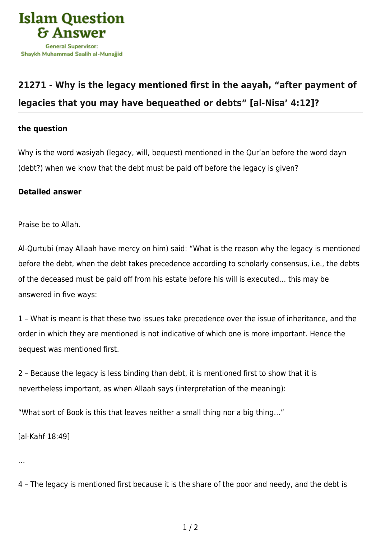

## **[21271 - Why is the legacy mentioned first in the aayah, "after payment of](https://islamqa.com/en/answers/21271/why-is-the-legacy-mentioned-first-in-the-aayah-after-payment-of-legacies-that-you-may-have-bequeathed-or-debts-al-nisa-412) [legacies that you may have bequeathed or debts" \[al-Nisa' 4:12\]?](https://islamqa.com/en/answers/21271/why-is-the-legacy-mentioned-first-in-the-aayah-after-payment-of-legacies-that-you-may-have-bequeathed-or-debts-al-nisa-412)**

## **the question**

Why is the word wasiyah (legacy, will, bequest) mentioned in the Qur'an before the word dayn (debt?) when we know that the debt must be paid off before the legacy is given?

## **Detailed answer**

Praise be to Allah.

Al-Qurtubi (may Allaah have mercy on him) said: "What is the reason why the legacy is mentioned before the debt, when the debt takes precedence according to scholarly consensus, i.e., the debts of the deceased must be paid off from his estate before his will is executed… this may be answered in five ways:

1 – What is meant is that these two issues take precedence over the issue of inheritance, and the order in which they are mentioned is not indicative of which one is more important. Hence the bequest was mentioned first.

2 – Because the legacy is less binding than debt, it is mentioned first to show that it is nevertheless important, as when Allaah says (interpretation of the meaning):

"What sort of Book is this that leaves neither a small thing nor a big thing…"

[al-Kahf 18:49]

…

4 – The legacy is mentioned first because it is the share of the poor and needy, and the debt is